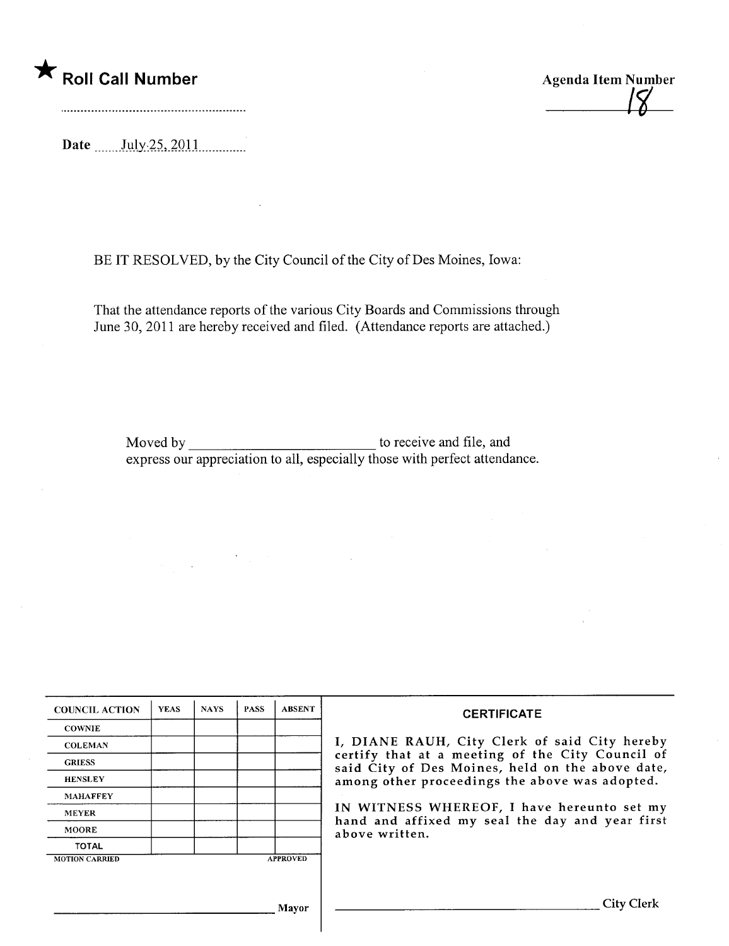#### \* Roll Call Number Agenda Item Number

 $\boldsymbol{\mu}$ 

Date \_\_\_\_\_\_ July 25, 2011

BE IT RESOLVED, by the City Council of the City of Des Moines, Iowa:

That the attendance reports of the various City Boards and Commissions through June 30, 2011 are hereby received and filed. (Attendance reports are attached.)

Moved by to receive and fie, and express our appreciation to all, especially those with perfect attendance.

| <b>COUNCIL ACTION</b> | <b>YEAS</b> | <b>NAYS</b> | <b>PASS</b> | <b>ABSENT</b>   | <b>CERTIFICATE</b>                                                                                   |
|-----------------------|-------------|-------------|-------------|-----------------|------------------------------------------------------------------------------------------------------|
| <b>COWNIE</b>         |             |             |             |                 |                                                                                                      |
| <b>COLEMAN</b>        |             |             |             |                 | I, DIANE RAUH, City Clerk of said City hereby                                                        |
| <b>GRIESS</b>         |             |             |             |                 | certify that at a meeting of the City Council of<br>said City of Des Moines, held on the above date, |
| <b>HENSLEY</b>        |             |             |             |                 | among other proceedings the above was adopted.                                                       |
| <b>MAHAFFEY</b>       |             |             |             |                 |                                                                                                      |
| <b>MEYER</b>          |             |             |             |                 | IN WITNESS WHEREOF, I have hereunto set my<br>hand and affixed my seal the day and year first        |
| <b>MOORE</b>          |             |             |             |                 | above written.                                                                                       |
| <b>TOTAL</b>          |             |             |             |                 |                                                                                                      |
| <b>MOTION CARRIED</b> |             |             |             | <b>APPROVED</b> |                                                                                                      |
|                       |             |             |             |                 |                                                                                                      |
|                       |             |             |             |                 |                                                                                                      |
|                       |             |             |             | Mavor           | City Clerk                                                                                           |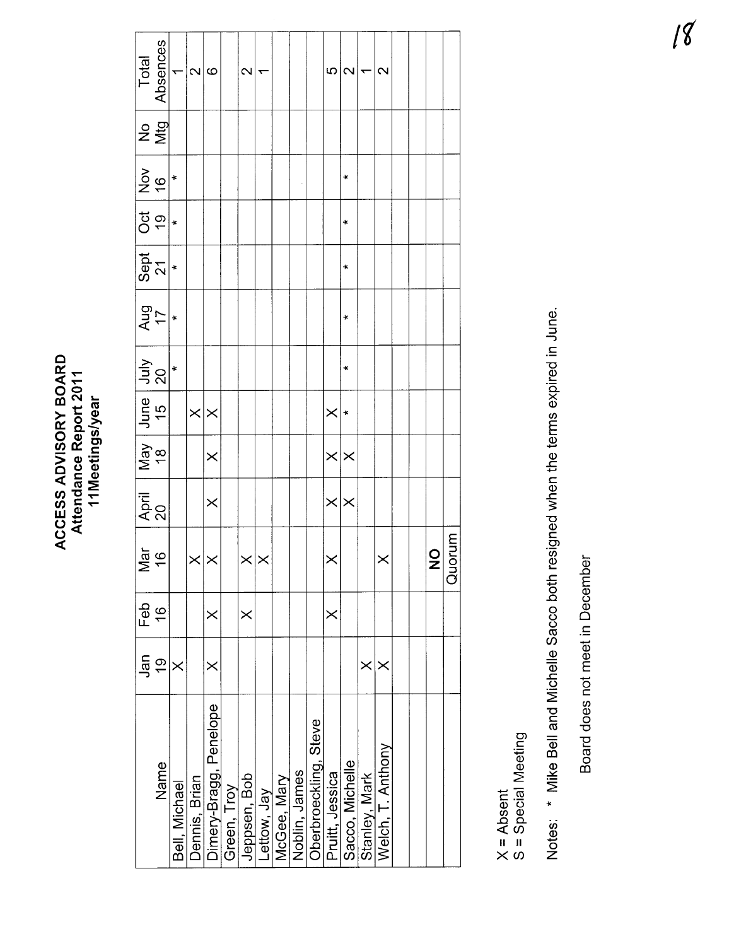| <b>BOARI</b><br>Attendance Report 2011<br>11Meetings/year<br><b>ACCESS ADVISORY</b> |  |
|-------------------------------------------------------------------------------------|--|
|-------------------------------------------------------------------------------------|--|

|                                 | Total<br>Absences<br>1                                            |               | $\mathbf{\Omega}$ | $\circ$                |             | $\sim$              | ۳           |             |               |                       | ယ                 | $\overline{\mathbf{C}}$ | ᡕ             | $\mathbf{\Omega}$ |  |                              |        |
|---------------------------------|-------------------------------------------------------------------|---------------|-------------------|------------------------|-------------|---------------------|-------------|-------------|---------------|-----------------------|-------------------|-------------------------|---------------|-------------------|--|------------------------------|--------|
|                                 | $2\frac{9}{2}$                                                    |               |                   |                        |             |                     |             |             |               |                       |                   |                         |               |                   |  |                              |        |
|                                 | $rac{6}{2}$                                                       | $\ast$        |                   |                        |             |                     |             |             |               |                       |                   | ×                       |               |                   |  |                              |        |
|                                 | $rac{1}{\frac{1}{2}}$                                             |               |                   |                        |             |                     |             |             |               |                       |                   | $\ddot{}$               |               |                   |  |                              |        |
|                                 | $rac{1}{27}$                                                      |               |                   |                        |             |                     |             |             |               |                       |                   | ł.                      |               |                   |  |                              |        |
|                                 | $\frac{17}{17}$                                                   |               |                   |                        |             |                     |             |             |               |                       |                   | ¥                       |               |                   |  |                              |        |
|                                 | $\frac{3}{20}$                                                    | $\ddot{}$     |                   |                        |             |                     |             |             |               |                       |                   | $\ast$                  |               |                   |  |                              |        |
|                                 | $\begin{array}{c c c} \n\text{June} \\ \n\text{15} \n\end{array}$ |               | $\times$ $\times$ |                        |             |                     |             |             |               |                       | $\times$          |                         |               |                   |  |                              |        |
| May<br>18                       |                                                                   |               |                   | $\times$               |             |                     |             |             |               |                       | $\times \times$   |                         |               |                   |  |                              |        |
| April<br>20                     |                                                                   |               |                   | $\times$               |             |                     |             |             |               |                       | $\times$ $\times$ |                         |               |                   |  |                              |        |
| $\frac{a}{\overline{b}}$ ය<br>Σ |                                                                   |               | $\times$ $\times$ |                        |             | $\times$ l $\times$ |             |             |               |                       | $\times$          |                         |               | ×                 |  | $\overline{\mathbf{Q}}$<br>Z | Quorum |
| Feb                             | $\frac{6}{1}$                                                     |               |                   | $\times$               |             | $\times$            |             |             |               |                       | $\times$          |                         |               |                   |  |                              |        |
| $\frac{1}{9}$ $\frac{1}{9}$     |                                                                   | $\times$      |                   | ×                      |             |                     |             |             |               |                       |                   |                         | $\times$      | ×                 |  |                              |        |
|                                 | Name                                                              | Bell, Michael | Dennis, Brian     | Dimery-Bragg, Penelope | Green, Troy | Jeppsen, Bob        | Lettow, Jay | McGee, Mary | Noblin, James | Oberbroeckling, Steve | Pruitt, Jessica   | Sacco, Michelle         | Stanley, Mark | Welch, T. Anthony |  |                              |        |

X = Absent<br>S = Special Meeting S = Special Meeting Notes: \* Mike Bell and Michelle Sacco both resigned when the terms expired in June. Notes: \* Mike Bell and Michelle Sacco both resigned when the terms expired in June.

Board does not meet in December --~Board does not meet in December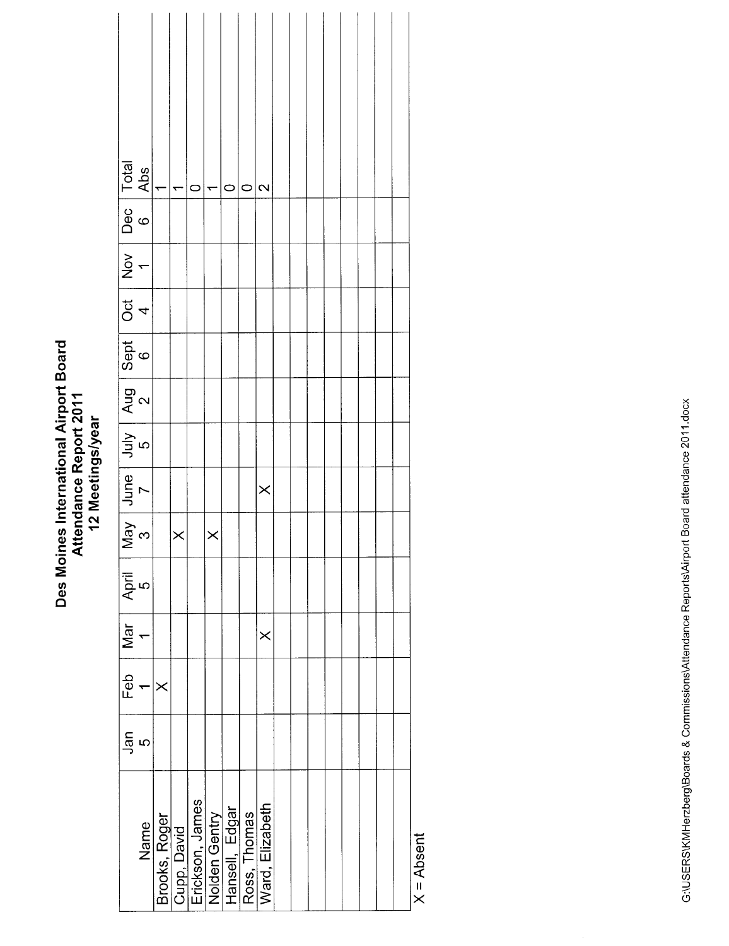|                                                                 |          |          | $\vert_{\texttt{\tiny T}}$ | $\circ$                                                  | $\leftarrow$ | $\circ$                         | 0            | $\mathbf{\Omega}$ |  |  |  |  |
|-----------------------------------------------------------------|----------|----------|----------------------------|----------------------------------------------------------|--------------|---------------------------------|--------------|-------------------|--|--|--|--|
| May June July Aug Sept Oct Nov Dec Total<br>3 7 5 2 6 4 1 6 Abs |          |          |                            |                                                          |              |                                 |              |                   |  |  |  |  |
|                                                                 |          |          |                            |                                                          |              |                                 |              |                   |  |  |  |  |
|                                                                 |          |          |                            |                                                          |              |                                 |              |                   |  |  |  |  |
|                                                                 |          |          |                            |                                                          |              |                                 |              |                   |  |  |  |  |
|                                                                 |          |          |                            |                                                          |              |                                 |              |                   |  |  |  |  |
|                                                                 |          |          |                            |                                                          |              |                                 |              |                   |  |  |  |  |
|                                                                 |          |          |                            |                                                          |              |                                 |              | $\times$          |  |  |  |  |
|                                                                 |          |          | $\times$                   |                                                          | $\times$     |                                 |              |                   |  |  |  |  |
| $\overline{A}$ pril<br>5                                        |          |          |                            |                                                          |              |                                 |              |                   |  |  |  |  |
| Mar                                                             |          |          |                            |                                                          |              |                                 |              | $\times$          |  |  |  |  |
| Feb                                                             |          | $\times$ |                            |                                                          |              |                                 |              |                   |  |  |  |  |
|                                                                 | ენ<br>ში |          |                            |                                                          |              |                                 |              |                   |  |  |  |  |
|                                                                 | Name     |          |                            | <u>Brooks, Roger<br/>Cupp, David<br/>Erickson, James</u> |              | Nolden Gentry<br>Hansell, Edgar | Ross, Thomas | Ward, Elizabeth   |  |  |  |  |

 $X = Absent$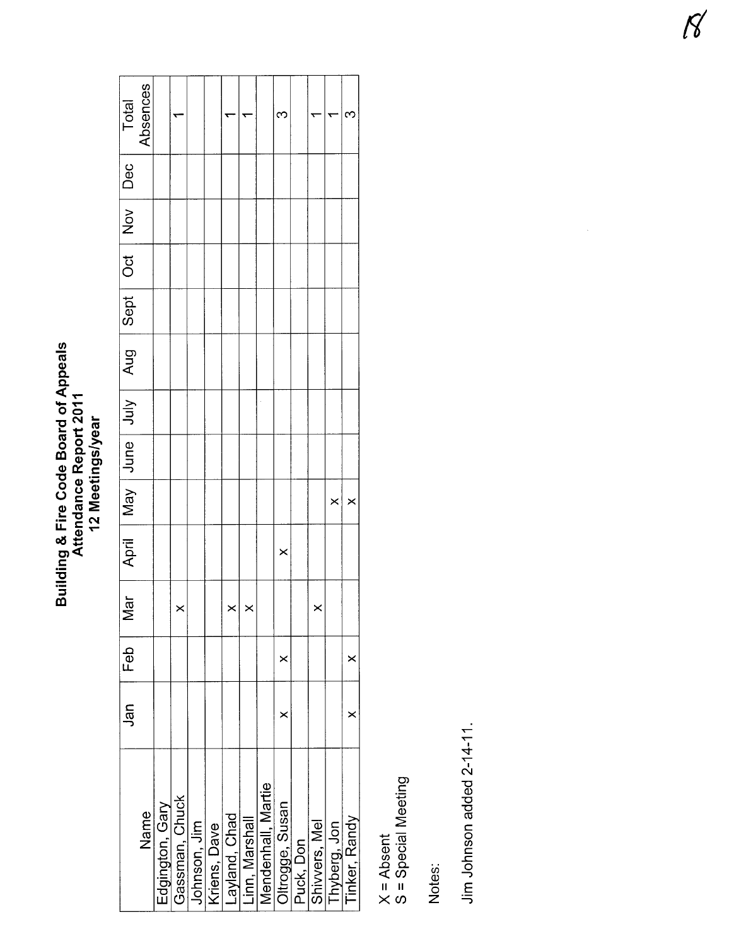# Building & Fire Code Board of Appeals<br>Attendance Report 2011<br>12 Meetings/year

| Total                                        | Absences |                 |                |              |              |               |                |                    | $\mathbf{C}$    |           |               |              | ς             |
|----------------------------------------------|----------|-----------------|----------------|--------------|--------------|---------------|----------------|--------------------|-----------------|-----------|---------------|--------------|---------------|
|                                              |          |                 |                |              |              |               |                |                    |                 |           |               |              |               |
|                                              |          |                 |                |              |              |               |                |                    |                 |           |               |              |               |
|                                              |          |                 |                |              |              |               |                |                    |                 |           |               |              |               |
|                                              |          |                 |                |              |              |               |                |                    |                 |           |               |              |               |
| April   May   Jure   Jury   Aug   Sept   Dec |          |                 |                |              |              |               |                |                    |                 |           |               |              |               |
|                                              |          |                 |                |              |              |               |                |                    |                 |           |               |              |               |
|                                              |          |                 |                |              |              |               |                |                    |                 |           |               |              |               |
|                                              |          |                 |                |              |              |               |                |                    |                 |           |               | ×            | ×             |
|                                              |          |                 |                |              |              |               |                |                    | $\times$        |           |               |              |               |
| $\overline{a}$<br>≥                          |          |                 | ×              |              |              | $\times$      | ×              |                    |                 |           | ×             |              |               |
| Feb                                          |          |                 |                |              |              |               |                |                    | ×               |           |               |              | ×             |
| Jan                                          |          |                 |                |              |              |               |                |                    | ×               |           |               |              | $\times$      |
|                                              | Name     | Edgington, Gary | Gassman, Chuck | Johnson, Jim | Kriens, Dave | Layland, Chad | Linn, Marshall | Mendenhall, Martie | Oltrogge, Susan | Puck, Don | Shivvers, Mel | Thyberg, Jon | Tinker, Randy |

X = Absent<br>S = Special Meeting

Notes:

Jim Johnson added 2-14-11.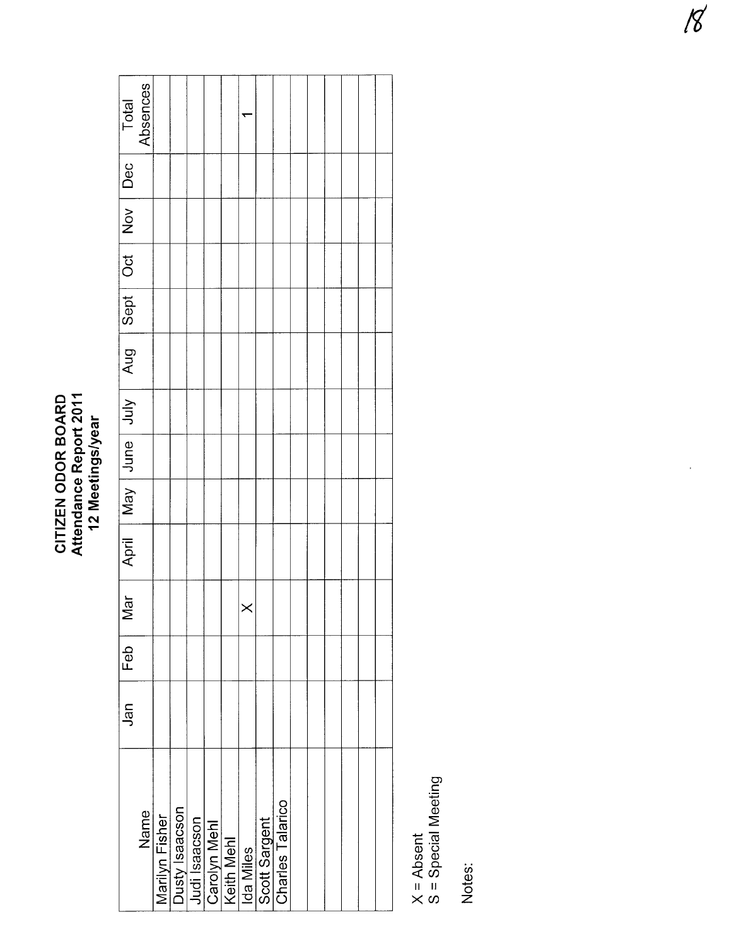#### CITIZEN ODOR BOARD<br>Attendance Report 2011<br>12 Meetings/year CITIZEN ODOR BOARD Attendance Report 2011 12 Meetings/year

| Total                                    | Absences |                |  |                                                                            |          |               |                  |  |  |  |
|------------------------------------------|----------|----------------|--|----------------------------------------------------------------------------|----------|---------------|------------------|--|--|--|
|                                          |          |                |  |                                                                            |          |               |                  |  |  |  |
|                                          |          |                |  |                                                                            |          |               |                  |  |  |  |
|                                          |          |                |  |                                                                            |          |               |                  |  |  |  |
|                                          |          |                |  |                                                                            |          |               |                  |  |  |  |
| April May June July Aug Sept Oct Nov Dec |          |                |  |                                                                            |          |               |                  |  |  |  |
|                                          |          |                |  |                                                                            |          |               |                  |  |  |  |
|                                          |          |                |  |                                                                            |          |               |                  |  |  |  |
|                                          |          |                |  |                                                                            |          |               |                  |  |  |  |
|                                          |          |                |  |                                                                            |          |               |                  |  |  |  |
| $\overline{5}$<br>≥                      |          |                |  |                                                                            | $\times$ |               |                  |  |  |  |
| $F$ eb                                   |          |                |  |                                                                            |          |               |                  |  |  |  |
| Jan                                      |          |                |  |                                                                            |          |               |                  |  |  |  |
|                                          | Name     | Marilyn Fisher |  | Dusty Isaacson<br>Judi Isaacson<br>Carolyn Mehl<br>Keith Mehl<br>Ida Miles |          | Scott Sargent | Charles Talarico |  |  |  |

X = Absent<br>S = Special Meeting S = Special Meeting

Notes:

 $\ddot{\phantom{0}}$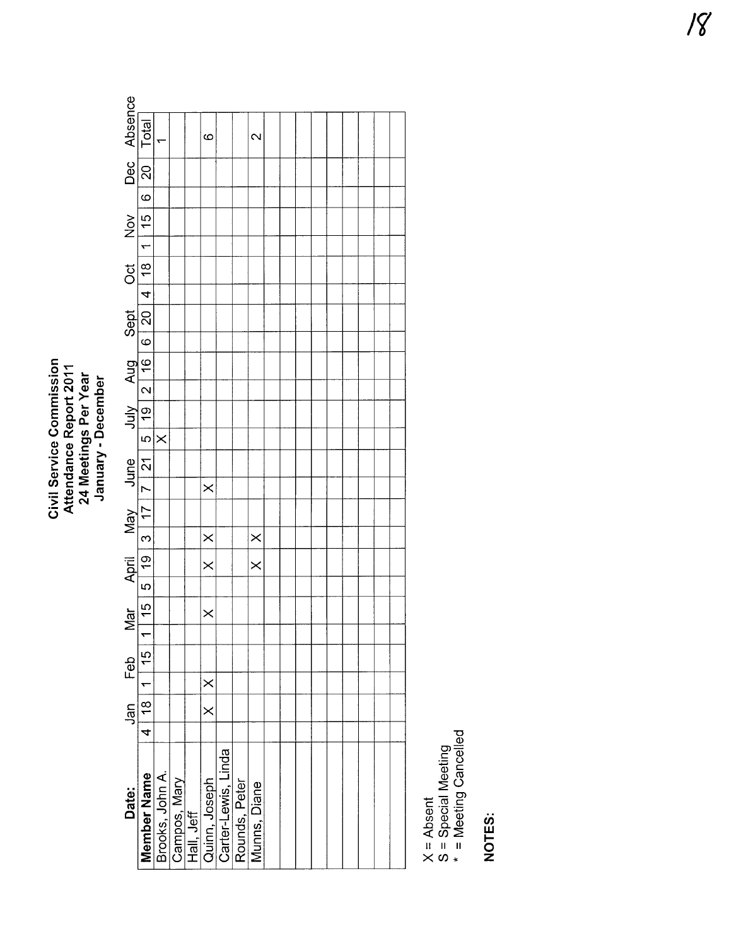Civil Service Commission<br>Attendance Report 2011<br>24 Meetings Per Year<br>January - December

| Dec Absence             | 20   Total                                                              |          |  | ဖ                                                                                                           |               | $\mathbf{\sim}$ |  |  |  |  |  |
|-------------------------|-------------------------------------------------------------------------|----------|--|-------------------------------------------------------------------------------------------------------------|---------------|-----------------|--|--|--|--|--|
|                         |                                                                         |          |  |                                                                                                             |               |                 |  |  |  |  |  |
|                         | $\overline{6}$                                                          |          |  |                                                                                                             |               |                 |  |  |  |  |  |
| $\sum_{i=1}^{n}$        |                                                                         |          |  |                                                                                                             |               |                 |  |  |  |  |  |
|                         |                                                                         |          |  |                                                                                                             |               |                 |  |  |  |  |  |
| Sept Oct                | 20  4   18   1   15                                                     |          |  |                                                                                                             |               |                 |  |  |  |  |  |
|                         |                                                                         |          |  |                                                                                                             |               |                 |  |  |  |  |  |
|                         |                                                                         |          |  |                                                                                                             |               |                 |  |  |  |  |  |
|                         |                                                                         |          |  |                                                                                                             |               |                 |  |  |  |  |  |
|                         |                                                                         |          |  |                                                                                                             |               |                 |  |  |  |  |  |
|                         |                                                                         |          |  |                                                                                                             |               |                 |  |  |  |  |  |
|                         |                                                                         |          |  |                                                                                                             |               |                 |  |  |  |  |  |
|                         |                                                                         | $\times$ |  |                                                                                                             |               |                 |  |  |  |  |  |
|                         |                                                                         |          |  |                                                                                                             |               |                 |  |  |  |  |  |
|                         |                                                                         |          |  | $\times$                                                                                                    |               |                 |  |  |  |  |  |
|                         |                                                                         |          |  |                                                                                                             |               |                 |  |  |  |  |  |
|                         |                                                                         |          |  | $\times$                                                                                                    |               | $\times$        |  |  |  |  |  |
| April May June July Aug | $19 \mid 3 \mid 17 \mid 7 \mid 21 \mid 5 \mid 19 \mid 2 \mid 16 \mid 6$ |          |  | $\times$                                                                                                    |               | $\times$        |  |  |  |  |  |
|                         | $\frac{1}{2}$                                                           |          |  |                                                                                                             |               |                 |  |  |  |  |  |
| <u>lar</u>              | $\frac{15}{2}$                                                          |          |  | $\times$                                                                                                    |               |                 |  |  |  |  |  |
| ≥                       | —<br>—                                                                  |          |  |                                                                                                             |               |                 |  |  |  |  |  |
|                         |                                                                         |          |  |                                                                                                             |               |                 |  |  |  |  |  |
|                         |                                                                         |          |  | $\times$                                                                                                    |               |                 |  |  |  |  |  |
| Jan Feb                 | 4   18   1   15                                                         |          |  | $\times$                                                                                                    |               |                 |  |  |  |  |  |
|                         |                                                                         |          |  |                                                                                                             |               |                 |  |  |  |  |  |
| Date:                   |                                                                         |          |  | <b>Member Name</b><br>Brooks, John A.<br>Campos, Mary<br>Hall, Jeff<br>Quinn, Joseph<br>Carter-Lewis, Linda | Rounds, Peter | Munns, Diane    |  |  |  |  |  |
|                         |                                                                         |          |  |                                                                                                             |               |                 |  |  |  |  |  |

X = Absent<br>S = Special Meeting<br>\* = Meeting Cancelled

NOTES: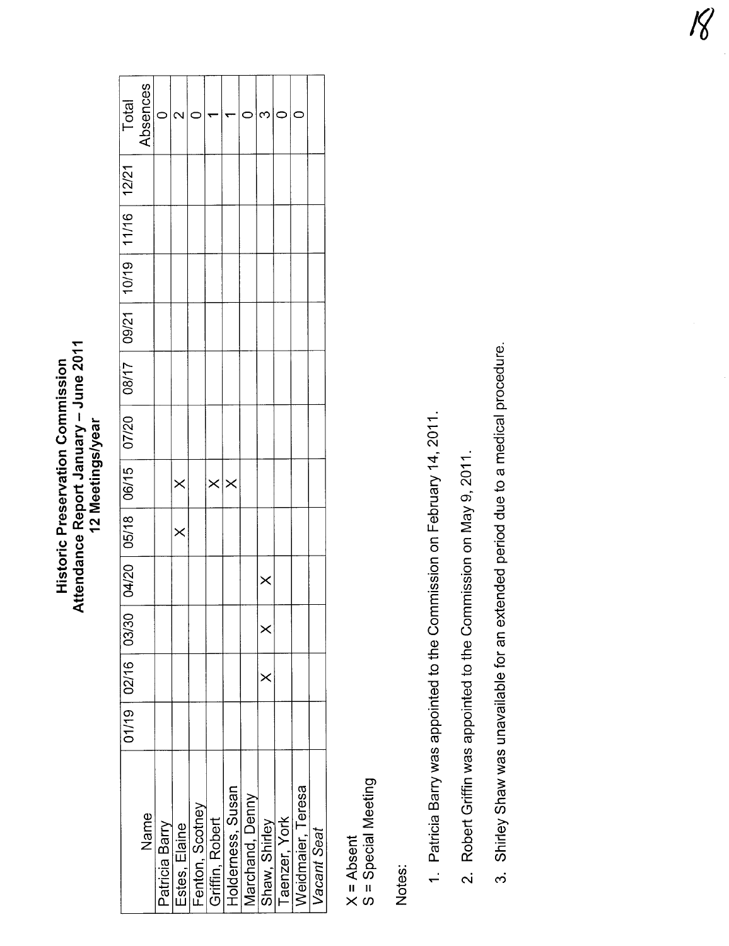#### Attendance Report January – June 2011<br>12 Meetings/year Attendance Report January - June 2011 **Historic Preservation Commission** Historic Preservation Commission 12 Meetings/year

|      | Ć        |                            |               |                 |                                      |                   |                 |               |                                    |
|------|----------|----------------------------|---------------|-----------------|--------------------------------------|-------------------|-----------------|---------------|------------------------------------|
|      |          |                            |               |                 |                                      |                   |                 |               |                                    |
|      |          |                            |               |                 |                                      |                   |                 |               |                                    |
|      |          |                            |               |                 |                                      |                   |                 |               |                                    |
|      |          |                            |               |                 |                                      |                   |                 |               |                                    |
|      |          |                            |               |                 |                                      |                   |                 |               |                                    |
|      |          |                            |               |                 |                                      |                   |                 |               |                                    |
|      |          |                            |               |                 |                                      |                   |                 |               |                                    |
|      |          |                            |               |                 |                                      |                   |                 |               |                                    |
|      |          |                            |               |                 |                                      | $\times$          |                 |               |                                    |
|      |          |                            |               |                 |                                      | $\times$          |                 |               |                                    |
|      |          |                            |               |                 |                                      | $\times$          |                 |               |                                    |
|      |          |                            |               |                 |                                      |                   |                 |               |                                    |
| Name |          |                            |               |                 |                                      |                   |                 |               | Vacant Seat                        |
|      | Absences | $\times$<br>Patricia Barry | Estes, Elaine | Fenton, Scotney | $\times$ $\times$<br>Griffin, Robert | Holderness, Susan | Marchand, Denny | Shaw, Shirley | Weidmaier, Teresa<br>Taenzer, York |

X = Absent<br>S = Special Meeting S = Special Meeting

Notes:

- 1. Patricia Barry was appointed to the Commission on February 14, 2011. 1. Patricia Barry was appointed to the Commission on February 14, 2011.
- 2. Robert Griffin was appointed to the Commission on May 9, 2011. 2. Robert Griffin was appointed to the Commission on May 9,2011.
- 3. Shirley Shaw was unavailable for an extended period due to a medical procedure. 3. Shirley Shaw was unavailable for an extended period due to a medical procedure.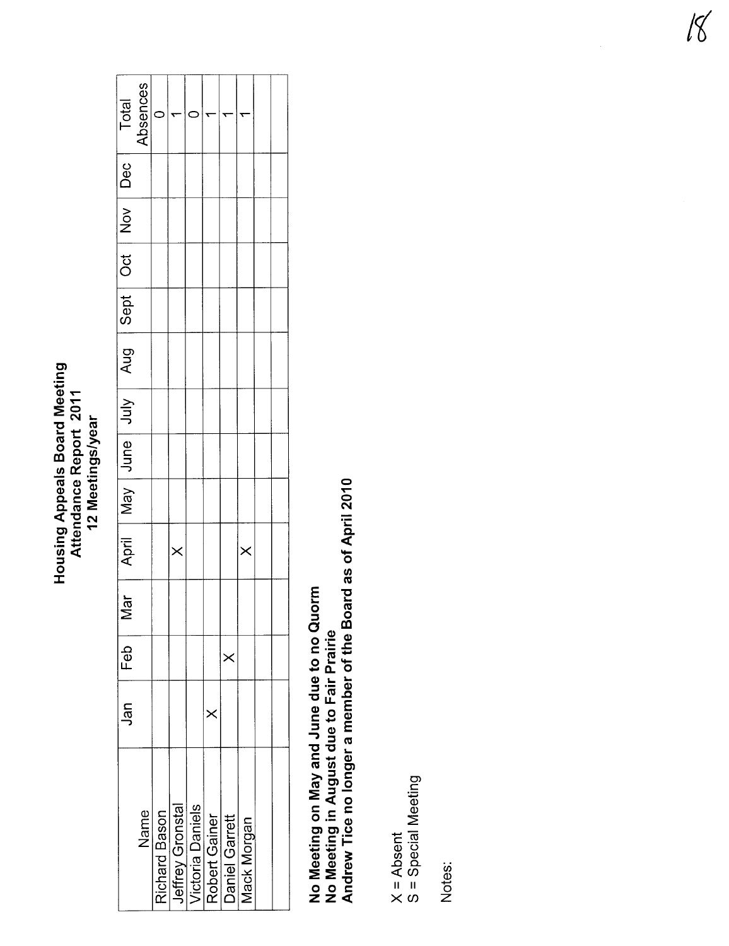### **Housing Appeals Board Meeting<br>Attendance Report 2011** 12 Meetings/year

| Total               | Absences |          |                                                                                          |          |          |                           |  |
|---------------------|----------|----------|------------------------------------------------------------------------------------------|----------|----------|---------------------------|--|
| Dec                 |          |          |                                                                                          |          |          |                           |  |
|                     |          |          |                                                                                          |          |          |                           |  |
|                     |          |          |                                                                                          |          |          |                           |  |
| Sept   Oct   Nov    |          |          |                                                                                          |          |          |                           |  |
| Aug <sub>1</sub>    |          |          |                                                                                          |          |          |                           |  |
|                     |          |          |                                                                                          |          |          |                           |  |
| April May June July |          |          |                                                                                          |          |          |                           |  |
|                     |          |          |                                                                                          |          |          |                           |  |
|                     |          | $\times$ |                                                                                          |          |          | $\times$                  |  |
| Mar                 |          |          |                                                                                          |          |          |                           |  |
| Feb                 |          |          |                                                                                          |          | $\times$ |                           |  |
| Jan                 |          |          |                                                                                          | $\times$ |          |                           |  |
|                     | Name     |          | Richard Bason<br>Jeffrey Gronstal<br>Victoria Daniels<br>Robert Gainer<br>Daniel Garrett |          |          | <b><i>Mack Morgan</i></b> |  |
|                     |          |          |                                                                                          |          |          |                           |  |

No Meeting on May and June due to no Quorm<br>No Meeting in August due to Fair Prairie<br>Andrew Tice no longer a member of the Board as of April 2010

X = Absent<br>S = Special Meeting

Notes:

 $18<sup>1</sup>$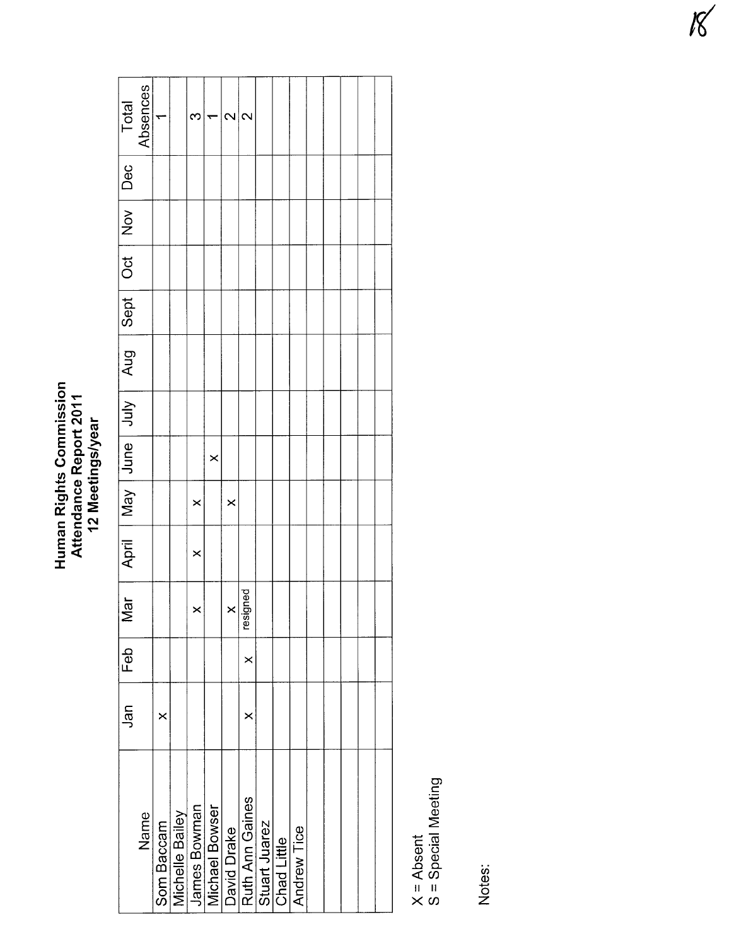## Human Rights Commission<br>Attendance Report 2011<br>12 Meetings/year

| Total                                             | Absences | ᡪ          |                        | ∞            |                | $\sim$      | $\sim$          |               |             |             |  |  |  |
|---------------------------------------------------|----------|------------|------------------------|--------------|----------------|-------------|-----------------|---------------|-------------|-------------|--|--|--|
|                                                   |          |            |                        |              |                |             |                 |               |             |             |  |  |  |
|                                                   |          |            |                        |              |                |             |                 |               |             |             |  |  |  |
|                                                   |          |            |                        |              |                |             |                 |               |             |             |  |  |  |
|                                                   |          |            |                        |              |                |             |                 |               |             |             |  |  |  |
| April   May   June   Aug   Sept   Oct   Nov   Dec |          |            |                        |              |                |             |                 |               |             |             |  |  |  |
|                                                   |          |            |                        |              |                |             |                 |               |             |             |  |  |  |
|                                                   |          |            |                        |              | ×              |             |                 |               |             |             |  |  |  |
|                                                   |          |            |                        | $\times$     |                | ×           |                 |               |             |             |  |  |  |
|                                                   |          |            |                        | $\times$     |                |             |                 |               |             |             |  |  |  |
| $\overline{5}$<br>2                               |          |            |                        | ć<br>د       |                | ≺<br>5      | resigned        |               |             |             |  |  |  |
| Feb                                               |          |            |                        |              |                |             | $\times$        |               |             |             |  |  |  |
| Jan                                               |          | ×          |                        |              |                |             | ×               |               |             |             |  |  |  |
|                                                   | Name     | Som Baccam | <b>Michelle Bailey</b> | James Bowman | Michael Bowser | David Drake | Ruth Ann Gaines | Stuart Juarez | Chad Little | Andrew Tice |  |  |  |
|                                                   |          |            |                        |              |                |             |                 |               |             |             |  |  |  |

X = Absent<br>S = Special Meeting

Notes: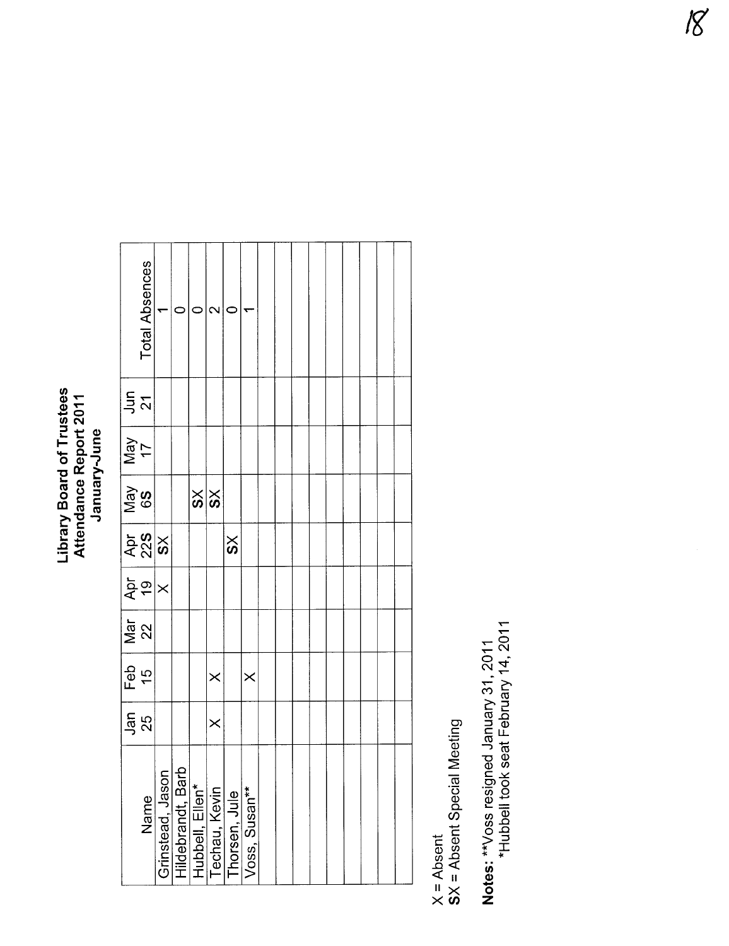## Library Board of Trustees<br>Attendance Report 2011<br>January-June

|               | Total Absences                 | ٣ |                                                                                            |               | 2        |                       |               |  |  |  |  |  |
|---------------|--------------------------------|---|--------------------------------------------------------------------------------------------|---------------|----------|-----------------------|---------------|--|--|--|--|--|
| $\frac{1}{2}$ |                                |   |                                                                                            |               |          |                       |               |  |  |  |  |  |
| Vay<br>YeM    |                                |   |                                                                                            |               |          |                       |               |  |  |  |  |  |
| S9<br>ReM     |                                |   |                                                                                            | $\frac{8}{8}$ |          |                       |               |  |  |  |  |  |
|               | $rac{25}{28}$                  |   |                                                                                            |               |          | $\overline{\text{S}}$ |               |  |  |  |  |  |
|               | $\frac{1}{2}$                  |   |                                                                                            |               |          |                       |               |  |  |  |  |  |
|               | $\frac{1}{\sqrt{\frac{4}{2}}}$ |   |                                                                                            |               |          |                       |               |  |  |  |  |  |
| Feb<br>15     |                                |   |                                                                                            |               | $\times$ |                       | $\times$      |  |  |  |  |  |
|               | _<br>ភូមិ<br>25                |   |                                                                                            |               | $\times$ |                       |               |  |  |  |  |  |
|               | Name                           |   | Grinstead, Jason<br>Hildebrandt, Barb<br>Hubbell, Ellen*<br>Techau, Kevin<br>Thorsen, Jule |               |          |                       | Voss, Susan** |  |  |  |  |  |

X = Absent<br>SX = Absent Special Meeting

Notes: \*\*Voss resigned January 31, 2011<br>\*Hubbell took seat February 14, 2011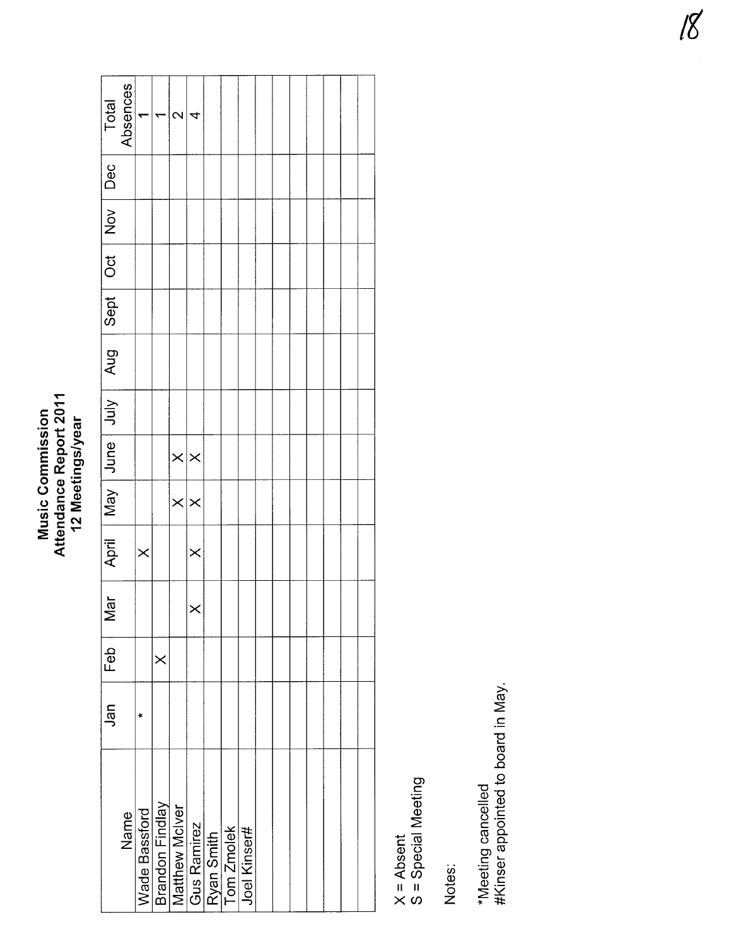#### Attendance Report 2011<br>12 Meetings/year Attendance Report 2011 **Music Commission** Music Commission 12 Meetings/year

| Total                                              | Absences |               | ᡪ        | $\mathbf{\Omega}$                        | 4                     |                                         |              |  |  |  |  |
|----------------------------------------------------|----------|---------------|----------|------------------------------------------|-----------------------|-----------------------------------------|--------------|--|--|--|--|
|                                                    |          |               |          |                                          |                       |                                         |              |  |  |  |  |
|                                                    |          |               |          |                                          |                       |                                         |              |  |  |  |  |
|                                                    |          |               |          |                                          |                       |                                         |              |  |  |  |  |
|                                                    |          |               |          |                                          |                       |                                         |              |  |  |  |  |
| April   May   June   July   Sept   Oct   Nov   Dec |          |               |          |                                          |                       |                                         |              |  |  |  |  |
|                                                    |          |               |          |                                          |                       |                                         |              |  |  |  |  |
|                                                    |          |               |          | $\times \times$                          |                       |                                         |              |  |  |  |  |
|                                                    |          |               |          | $\times$ $\times$                        |                       |                                         |              |  |  |  |  |
|                                                    |          | $\times$      |          |                                          | $\times$              |                                         |              |  |  |  |  |
| $\overline{a}$<br>≥                                |          |               |          |                                          | $\boldsymbol{\times}$ |                                         |              |  |  |  |  |
| Feb                                                |          |               | $\times$ |                                          |                       |                                         |              |  |  |  |  |
| Jan                                                |          | $\ast$        |          |                                          |                       |                                         |              |  |  |  |  |
|                                                    |          |               |          |                                          |                       |                                         |              |  |  |  |  |
|                                                    | Name     | Wade Bassford |          | <b>Brandon Findlay</b><br>Matthew McIver |                       | Gus Ramirez<br>Ryan Smith<br>Tom Zmolek | Joel Kinser# |  |  |  |  |

X = Absent<br>S = Special Meeting S = Special Meeting

Notes:

\*Meeting cancelled<br>#Kinser appointed to board in May. #Kinser appointed to board in May. \*Meeting cancelled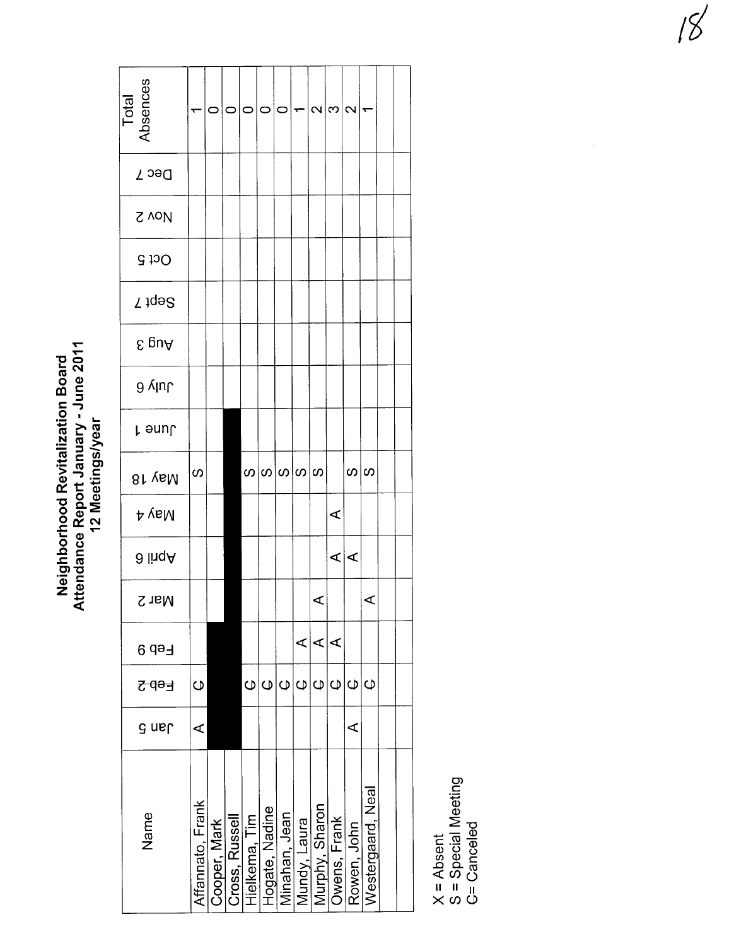Neighborhood Revitalization Board<br>Attendance Report January - June 2011<br>12 Meetings/year

| Total<br>Absences |                  | 0            | 0              | $\circ$           | $\circ$        | $\circ$                     | $\overline{\phantom{0}}$ | $ \omega $ ന $ \omega $ |                |                |                   |  |
|-------------------|------------------|--------------|----------------|-------------------|----------------|-----------------------------|--------------------------|-------------------------|----------------|----------------|-------------------|--|
| Dec 7             |                  |              |                |                   |                |                             |                          |                         |                |                |                   |  |
| <b>S</b> voll     |                  |              |                |                   |                |                             |                          |                         |                |                |                   |  |
| <b>Oct 5</b>      |                  |              |                |                   |                |                             |                          |                         |                |                |                   |  |
| Sept 7            |                  |              |                |                   |                |                             |                          |                         |                |                |                   |  |
| ε guΑ             |                  |              |                |                   |                |                             |                          |                         |                |                |                   |  |
| July 6            |                  |              |                |                   |                |                             |                          |                         |                |                |                   |  |
| լ əunՐ            |                  |              |                |                   |                |                             |                          |                         |                |                |                   |  |
| 81 yaM            | S                |              |                |                   |                | လ $ \infty $ လ $ \infty $ လ |                          |                         |                | $\infty$  လ    |                   |  |
| 4 yeM             |                  |              |                |                   |                |                             |                          |                         | $\prec$        |                |                   |  |
| ∂ liıqA           |                  |              |                |                   |                |                             |                          |                         | ∢∣∢            |                |                   |  |
| Nar 2             |                  |              |                |                   |                |                             |                          | ✓                       |                |                | ⋖                 |  |
| Feb 9             |                  |              |                |                   |                |                             | ⋖                        | ⋖                       | ⋖              |                |                   |  |
| <del>간 40 년</del> | $\mathsf{\Phi}$  |              |                | $\mathsf{\Omega}$ | $\mathsf \Phi$ | $\mathsf{\Omega}$           | $\mathsf \Phi$           | $\mathsf \Phi$          | $\mathsf \Phi$ | $\overline{Q}$ | $\overline{O}$    |  |
| a nal             | ⋖                |              |                |                   |                |                             |                          |                         |                | ⋖              |                   |  |
| Name              | Affannato, Frank | Cooper, Mark | Cross, Russell | Hielkema, Tim     | Hogate, Nadine | Minahan, Jean               | Mundy, Laura             | Murphy, Sharon          | Owens, Frank   | Rowen, John    | Westergaard, Neal |  |

X = Absent<br>S = Special Meeting<br><del>C</del>= Canceled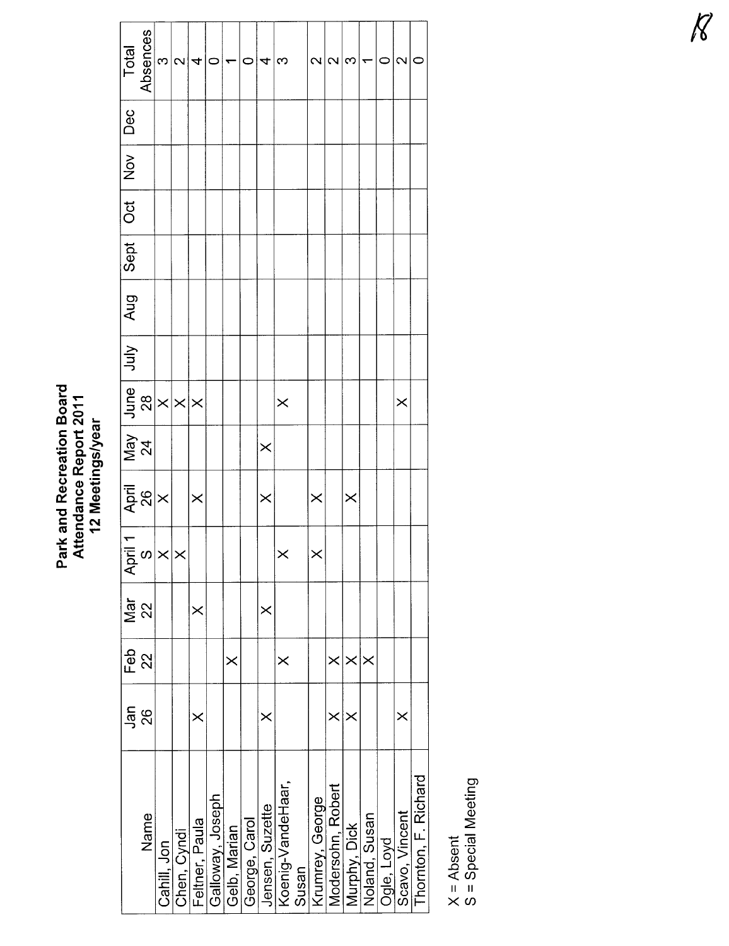## Park and Recreation Board<br>Attendance Report 2011<br>12 Meetings/year

| Total<br>Absences                      |                | $\infty$    | $\sim$                                     | 4              | 0                |              | 0             | 4               | ო                 |       | $\overline{\mathcal{C}}$ | $\mathbf{\Omega}$ | က            | ▼             | C          | $\sim$         |                     |
|----------------------------------------|----------------|-------------|--------------------------------------------|----------------|------------------|--------------|---------------|-----------------|-------------------|-------|--------------------------|-------------------|--------------|---------------|------------|----------------|---------------------|
| Dec                                    |                |             |                                            |                |                  |              |               |                 |                   |       |                          |                   |              |               |            |                |                     |
| $\overline{2}$                         |                |             |                                            |                |                  |              |               |                 |                   |       |                          |                   |              |               |            |                |                     |
| <b>Oct</b>                             |                |             |                                            |                |                  |              |               |                 |                   |       |                          |                   |              |               |            |                |                     |
| Sept                                   |                |             |                                            |                |                  |              |               |                 |                   |       |                          |                   |              |               |            |                |                     |
| Aug                                    |                |             |                                            |                |                  |              |               |                 |                   |       |                          |                   |              |               |            |                |                     |
| July                                   |                |             |                                            |                |                  |              |               |                 |                   |       |                          |                   |              |               |            |                |                     |
|                                        |                |             | $\frac{\text{June}}{28}$ $\times$ $\times$ |                |                  |              |               |                 | $\times$          |       |                          |                   |              |               |            | $\times$       |                     |
| $\frac{\text{May}}{24}$                |                |             |                                            |                |                  |              |               | $\times$        |                   |       |                          |                   |              |               |            |                |                     |
| $\frac{4}{26}$                         |                |             |                                            | $\times$       |                  |              |               | ×               |                   |       | $\times$                 |                   | $\times$     |               |            |                |                     |
| $\frac{ \overline{A}_{pri}  +  }{ X }$ |                |             | $\boldsymbol{\times}$                      |                |                  |              |               |                 | $\times$          |       | $\times$                 |                   |              |               |            |                |                     |
| Mar                                    | 22             |             |                                            | $\times$       |                  |              |               | $\times$        |                   |       |                          |                   |              |               |            |                |                     |
| Feb                                    | $\overline{2}$ |             |                                            |                |                  | $\times$     |               |                 | ×                 |       |                          | $\times$          | $\times$     |               |            |                |                     |
| Jan                                    | 88             |             |                                            | $\times$       |                  |              |               | ×               |                   |       |                          | ×                 |              |               |            | ×              |                     |
|                                        | Name           | Cahill, Jon | Chen, Cyndi                                | Feltner, Paula | Galloway, Joseph | Gelb, Marian | George, Carol | Jensen, Suzette | Koenig-VandeHaar, | Susan | Krumrey, George          | Modersohn, Robert | Murphy, Dick | Noland, Susan | Ogle, Loyd | Scavo, Vincent | Thomton, F. Richard |

X = Absent<br>S = Special Meeting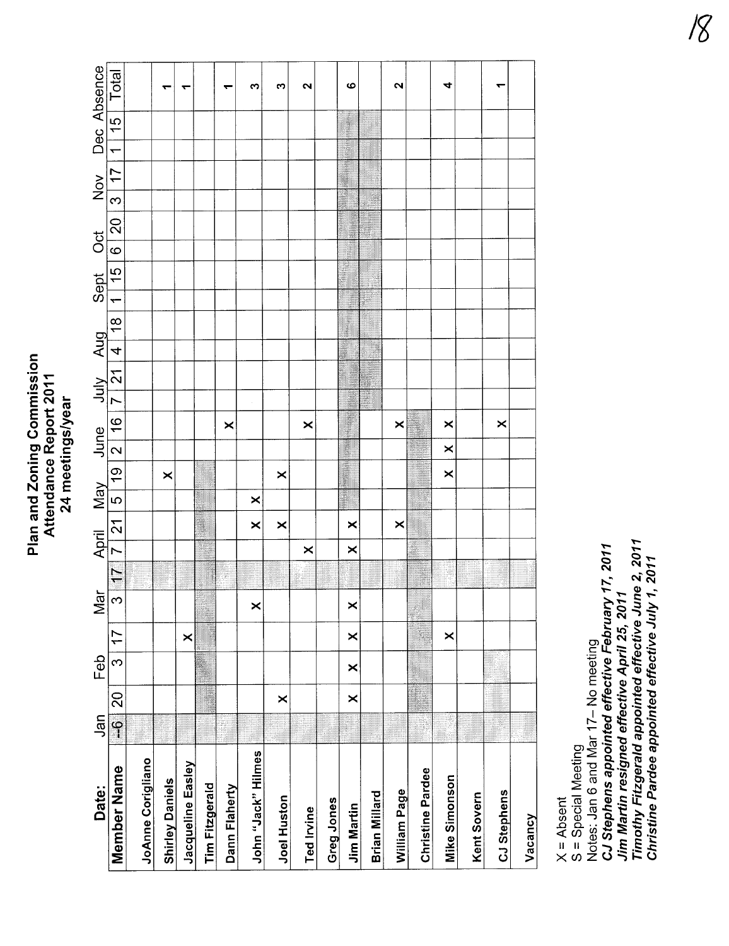#### Plan and Zoning Commission Plan and Zoning Commission Attendance Report 2011 Attendance Report 2011 24 meetings/year 24 meetings/year

| Date:                   | Jan           |                | Feb      |          | Mar      |               | April    |               | <b>May</b>    |          |          |   |                                                                                                                                                                        |                | Sept     | $\overline{c}$ | Nov |                 | Dec Absence |  |
|-------------------------|---------------|----------------|----------|----------|----------|---------------|----------|---------------|---------------|----------|----------|---|------------------------------------------------------------------------------------------------------------------------------------------------------------------------|----------------|----------|----------------|-----|-----------------|-------------|--|
| Member Name             | $\frac{1}{1}$ | $\overline{c}$ | <u>က</u> | 17       | က        | $\frac{1}{7}$ |          | $\frac{1}{2}$ | $\frac{1}{2}$ |          |          |   | $\frac{1}{\sqrt{19}}\left[\frac{1}{2}\right]\left[\frac{1}{2}\right]\left[\frac{1}{2}\right]\left[\frac{1}{2}\right]\left[\frac{1}{2}\right] \left[\frac{1}{2}\right]$ | $\frac{18}{1}$ | $ 1 $ 15 | 6 20           |     | 3   17   1   15 | Total       |  |
| JoAnne Corigliano       |               |                |          |          |          |               |          |               |               |          |          |   |                                                                                                                                                                        |                |          |                |     |                 |             |  |
| <b>Shirley Daniels</b>  |               |                |          |          |          |               |          |               |               | ×        |          |   |                                                                                                                                                                        |                |          |                |     |                 |             |  |
| Jacqueline Easley       |               |                |          | ×        |          |               |          |               |               |          |          |   |                                                                                                                                                                        |                |          |                |     |                 |             |  |
| <b>Tim Fitzgerald</b>   |               |                |          |          |          |               |          |               |               |          |          |   |                                                                                                                                                                        |                |          |                |     |                 |             |  |
| Dann Flaherty           |               |                |          |          |          |               |          |               |               |          |          | × |                                                                                                                                                                        |                |          |                |     |                 |             |  |
| John "Jack" Hilmes      |               |                |          |          | $\times$ |               |          | $\times$      | ×             |          |          |   |                                                                                                                                                                        |                |          |                |     |                 | ო           |  |
| <b>Joel Huston</b>      |               | ×              |          |          |          |               |          | ×             |               | ×        |          |   |                                                                                                                                                                        |                |          |                |     |                 | ო           |  |
| <b>Ted Irvine</b>       |               |                |          |          |          |               | ×        |               |               |          |          | × |                                                                                                                                                                        |                |          |                |     |                 | $\sim$      |  |
| <b>Greg Jones</b>       |               |                |          |          |          |               |          |               |               |          |          |   |                                                                                                                                                                        |                |          |                |     |                 |             |  |
| <b>Jim Martin</b>       |               | $\times$       | $\times$ | ×        | ×        |               | $\times$ | ×             |               |          |          |   |                                                                                                                                                                        |                |          |                |     |                 | ဖ           |  |
| Brian Millard           |               |                |          |          |          |               |          |               |               |          |          |   |                                                                                                                                                                        |                |          |                |     |                 |             |  |
| William Page            |               |                |          |          |          |               |          | $\times$      |               |          |          | × |                                                                                                                                                                        |                |          |                |     |                 | N           |  |
| <b>Christine Pardee</b> |               |                |          |          |          |               |          |               |               |          |          |   |                                                                                                                                                                        |                |          |                |     |                 |             |  |
| Mike Simonson           | ß             |                |          | $\times$ |          |               |          |               |               | $\times$ | $\times$ | × |                                                                                                                                                                        |                |          |                |     |                 | 4           |  |
| Kent Sovern             |               |                |          |          |          |               |          |               |               |          |          |   |                                                                                                                                                                        |                |          |                |     |                 |             |  |
| CJ Stephens             |               |                |          |          |          |               |          |               |               |          |          | × |                                                                                                                                                                        |                |          |                |     |                 |             |  |
| Vacancy                 |               |                |          |          |          |               |          |               |               |          |          |   |                                                                                                                                                                        |                |          |                |     |                 |             |  |

X = Absent<br>S = Special Meeting

Jim Martin resigned effective April 25, 2011<br>Timothy Fitzgerald appointed effective June 2, 2011<br>Christine Pardee appointed effective July 1, 2011 Notes: Jan 6 and Mar 17- No meeting<br>CJ Stephens appointed effective February 17, 2011 Timothy Fitzgerald appointed effective June 2, 2011 CJ Stephens appointed effective February 17, 2011 Christine Pardee appointed effective July 1, 2011 Jim Martin resigned effective April 25, 2011 Notes: Jan 6 and Mar 17- No meeting S = Special Meeting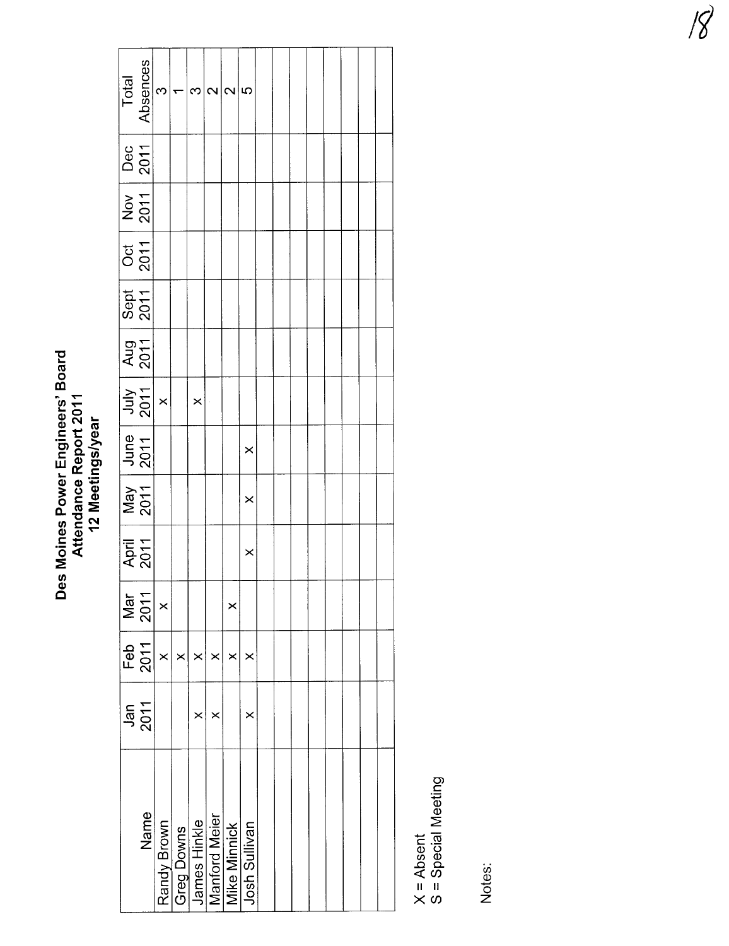## Des Moines Power Engineers' Board<br>Attendance Report 2011<br>12 Meetings/year

| Total              | Absences             | $\infty$    |            | ო              | $\sim$ | $\overline{\mathcal{C}}$             | မာ            |  |  |  |  |
|--------------------|----------------------|-------------|------------|----------------|--------|--------------------------------------|---------------|--|--|--|--|
| <b>Dec</b><br>2011 |                      |             |            |                |        |                                      |               |  |  |  |  |
| $\frac{1}{2011}$   |                      |             |            |                |        |                                      |               |  |  |  |  |
|                    |                      |             |            |                |        |                                      |               |  |  |  |  |
| Sept Oct 2011      |                      |             |            |                |        |                                      |               |  |  |  |  |
|                    | Aug<br>2011          |             |            |                |        |                                      |               |  |  |  |  |
|                    | $\frac{July}{2011}$  | $\times$    |            | $\times$       |        |                                      |               |  |  |  |  |
|                    | $June$<br>2011       |             |            |                |        |                                      | $\times$      |  |  |  |  |
|                    | May<br>2011          |             |            |                |        |                                      | $\times$      |  |  |  |  |
|                    | <b>April</b><br>2011 |             |            |                |        |                                      | $\times$      |  |  |  |  |
|                    | Mar<br>2011          | $\times$    |            |                |        | $\times$                             |               |  |  |  |  |
|                    | Feb<br>2011          | $\times$    | $\times$   | $\pmb{\times}$ | ×      | ×                                    | ×             |  |  |  |  |
|                    | $Jan$<br>2011        |             |            | ×              | ×      |                                      | $\times$      |  |  |  |  |
|                    | Name                 | Randy Brown | Greg Downs | James Hinkle   |        | <b>Manford Meier</b><br>Mike Minnick | Josh Sullivan |  |  |  |  |

X = Absent<br>S = Special Meeting

Notes: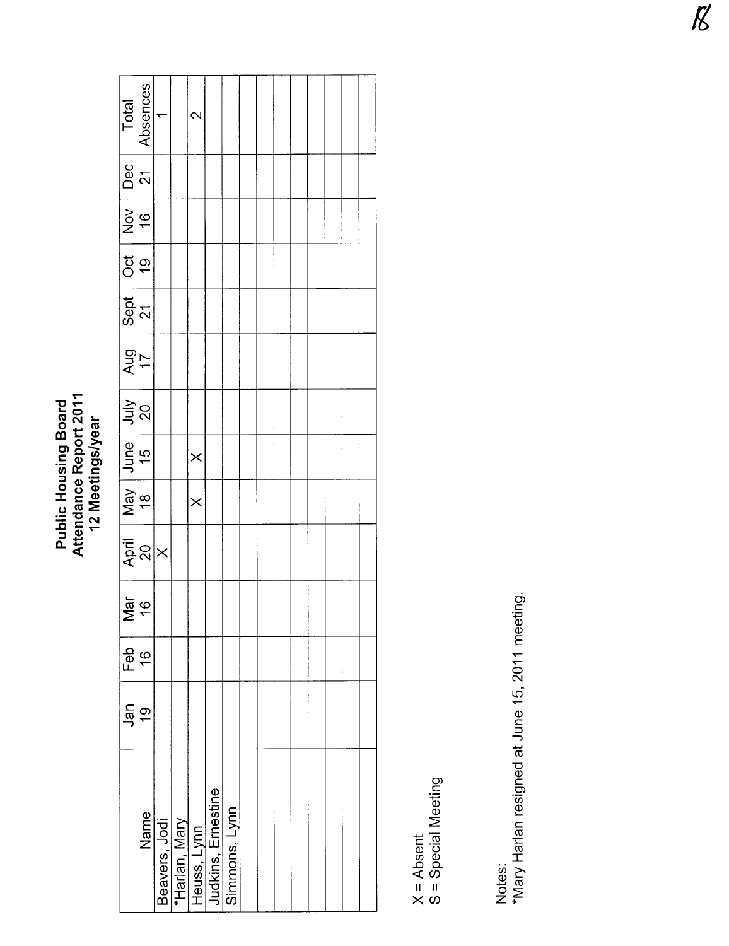### Public Housing Board<br>Attendance Report 2011<br>12 Meetings/year

| Total                                                                   | Absences                    | ᡪ | $\scriptstyle\sim$                                                  |               |  |  |  |  |
|-------------------------------------------------------------------------|-----------------------------|---|---------------------------------------------------------------------|---------------|--|--|--|--|
| $Dec$<br>21                                                             |                             |   |                                                                     |               |  |  |  |  |
| $\begin{array}{ c c } \hline & 91 \\ \hline & 16 \\ \hline \end{array}$ |                             |   |                                                                     |               |  |  |  |  |
|                                                                         |                             |   |                                                                     |               |  |  |  |  |
| Sept 0ct                                                                |                             |   |                                                                     |               |  |  |  |  |
| May June July Aug<br>18 15 20 17                                        |                             |   |                                                                     |               |  |  |  |  |
|                                                                         |                             |   |                                                                     |               |  |  |  |  |
|                                                                         |                             |   | $\times$                                                            |               |  |  |  |  |
|                                                                         |                             |   | $\times$                                                            |               |  |  |  |  |
|                                                                         | $\left.\frac{20}{x}\right $ |   |                                                                     |               |  |  |  |  |
|                                                                         | $\frac{31}{16}$             |   |                                                                     |               |  |  |  |  |
| Feb<br>16                                                               |                             |   |                                                                     |               |  |  |  |  |
| $rac{6}{19}$                                                            |                             |   |                                                                     |               |  |  |  |  |
|                                                                         | Name                        |   | Beavers, Jodi<br>*Harlan, Mary<br>Heuss, Lynn<br>Judkins, Ernestine | Simmons, Lynn |  |  |  |  |

X = Absent<br>S = Special Meeting

Notes:<br>\*Mary Harlan resigned at June 15, 2011 meeting.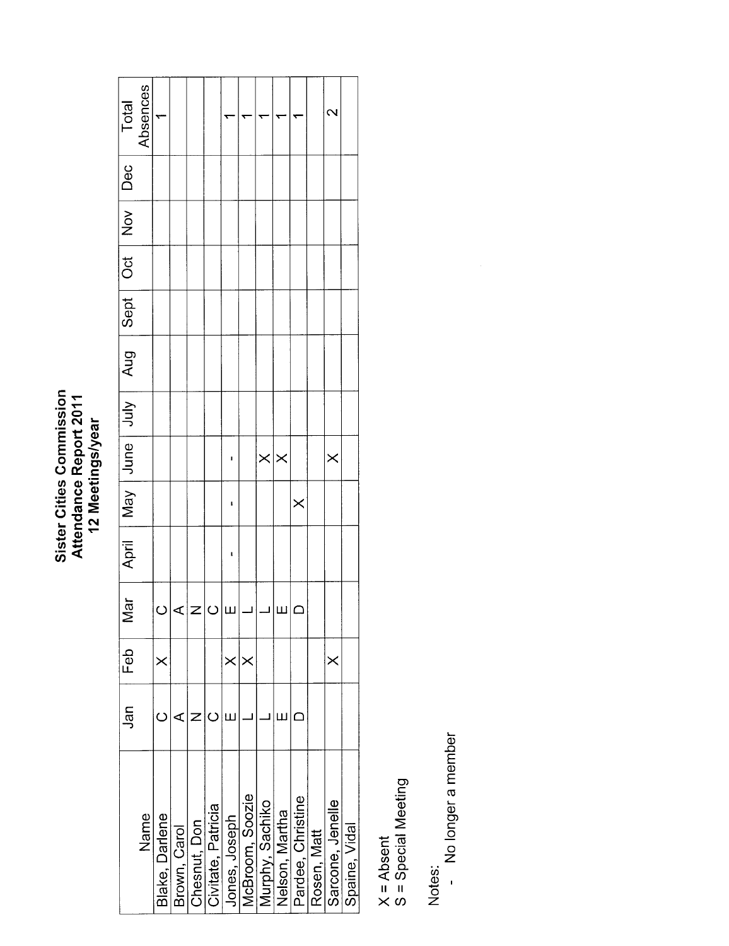## Sister Cities Commission<br>Attendance Report 2011<br>12 Meetings/year

|                    | Jan | Feb      | ă<br>≥ |   |          |                   | April   May   Jure   Jury   Aug   Sept   Dec |  |  | Total             |
|--------------------|-----|----------|--------|---|----------|-------------------|----------------------------------------------|--|--|-------------------|
| Name               |     |          |        |   |          |                   |                                              |  |  | Absences          |
| Blake, Darlene     |     | $\times$ |        |   |          |                   |                                              |  |  |                   |
| Brown, Carol       | ⋖   |          |        |   |          |                   |                                              |  |  |                   |
| Chesnut, Don       |     |          |        |   |          |                   |                                              |  |  |                   |
| Civitate, Patricia |     |          |        |   |          |                   |                                              |  |  |                   |
| Jones, Joseph      |     | $\times$ |        | ı | ı        | ı                 |                                              |  |  |                   |
| McBroom, Soozie    |     | $\times$ |        |   |          |                   |                                              |  |  |                   |
| Murphy, Sachiko    |     |          |        |   |          | $\times$ $\times$ |                                              |  |  |                   |
| Nelson, Martha     | Ш   |          | I)     |   |          |                   |                                              |  |  |                   |
| Pardee, Christine  |     |          |        |   | $\times$ |                   |                                              |  |  |                   |
| Rosen, Matt        |     |          |        |   |          |                   |                                              |  |  |                   |
| Sarcone, Jenelle   |     | $\times$ |        |   |          | $\times$          |                                              |  |  | $\mathbf{\Omega}$ |
| Spaine, Vidal      |     |          |        |   |          |                   |                                              |  |  |                   |

X = Absent<br>S = Special Meeting

Notes:

No longer a member

 $\hat{\boldsymbol{\epsilon}}$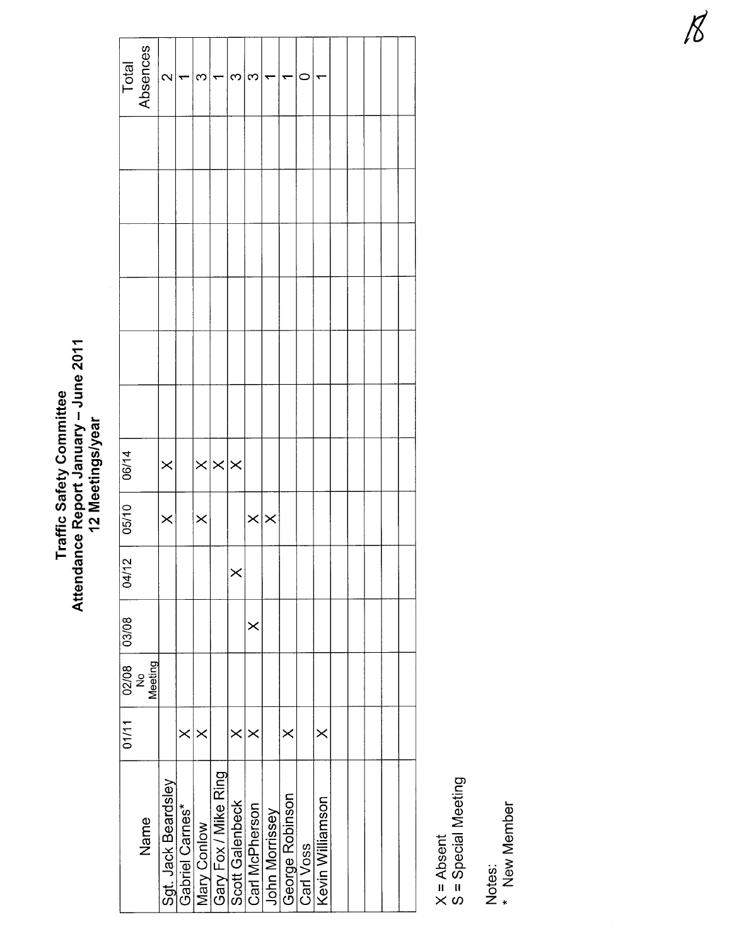#### Attendance Report January – June 2011<br>12 Meetings/year Attendance Report January - June 2011 **Traffic Safety Committee** Traffic Safety Committee 12 Meetings/year

|                   | Total<br>Absences        | $\mathbf{\Omega}$   |                 | ∾        |                                     | က               | ∞               |                | ↽               | c         |                  |  |  |  |
|-------------------|--------------------------|---------------------|-----------------|----------|-------------------------------------|-----------------|-----------------|----------------|-----------------|-----------|------------------|--|--|--|
|                   |                          |                     |                 |          |                                     |                 |                 |                |                 |           |                  |  |  |  |
|                   |                          |                     |                 |          |                                     |                 |                 |                |                 |           |                  |  |  |  |
|                   |                          |                     |                 |          |                                     |                 |                 |                |                 |           |                  |  |  |  |
|                   |                          |                     |                 |          |                                     |                 |                 |                |                 |           |                  |  |  |  |
|                   |                          |                     |                 |          |                                     |                 |                 |                |                 |           |                  |  |  |  |
|                   |                          |                     |                 |          |                                     |                 |                 |                |                 |           |                  |  |  |  |
| 06/14             |                          | $\times$            |                 |          | $\times \times \times$              |                 |                 |                |                 |           |                  |  |  |  |
| 05/10             |                          | $\times$            |                 | $\times$ |                                     |                 | $\times \times$ |                |                 |           |                  |  |  |  |
| $04/12$           |                          |                     |                 |          |                                     |                 |                 |                |                 |           |                  |  |  |  |
|                   |                          |                     |                 |          |                                     |                 | $\times$        |                |                 |           |                  |  |  |  |
| 01/11 02/08 03/08 | Meeting<br>$\frac{1}{2}$ |                     |                 |          |                                     |                 |                 |                |                 |           |                  |  |  |  |
|                   |                          |                     | $\times$        | $\times$ |                                     | $\times$        | $\times$        |                | $\times$        |           | $\times$         |  |  |  |
|                   | Name                     | Sgt. Jack Beardsley | Gabriel Carnes* |          | Mary Conlow<br>Gary Fox / Mike Ring | Scott Galenbeck | Carl McPherson  | John Morrissey | George Robinson | Carl Voss | Kevin Williamson |  |  |  |

X = Absent<br>S = Special Meeting S = Special Meeting

Notes:<br>\* New Member \* New Member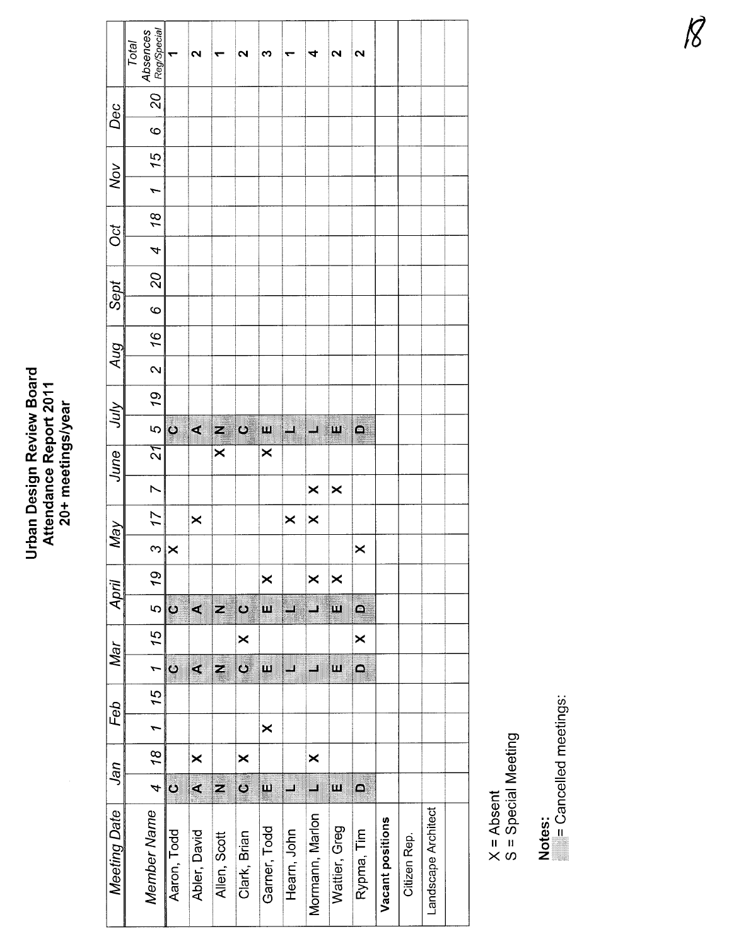## Urban Design Review Board<br>Attendance Report 2011<br>20+ meetings/year

|                   | Absences<br>Reg/Special<br>Total |                     | $\mathbf{\Omega}$ |                         | $\sim$                   | ო                     |                      | 4               | 2                     | 2                       |                  |              |                     |  |
|-------------------|----------------------------------|---------------------|-------------------|-------------------------|--------------------------|-----------------------|----------------------|-----------------|-----------------------|-------------------------|------------------|--------------|---------------------|--|
| Dec               | 20                               |                     |                   |                         |                          |                       |                      |                 |                       |                         |                  |              |                     |  |
|                   | 0                                |                     |                   |                         |                          |                       |                      |                 |                       |                         |                  |              |                     |  |
|                   | 15                               |                     |                   |                         |                          |                       |                      |                 |                       |                         |                  |              |                     |  |
| Nov               | $\overline{ }$                   |                     |                   |                         |                          |                       |                      |                 |                       |                         |                  |              |                     |  |
| ð                 | $\frac{8}{2}$                    |                     |                   |                         |                          |                       |                      |                 |                       |                         |                  |              |                     |  |
|                   | 4                                |                     |                   |                         |                          |                       |                      |                 |                       |                         |                  |              |                     |  |
|                   | 20                               |                     |                   |                         |                          |                       |                      |                 |                       |                         |                  |              |                     |  |
| Sept              | $\circ$                          |                     |                   |                         |                          |                       |                      |                 |                       |                         |                  |              |                     |  |
|                   | 16                               |                     |                   |                         |                          |                       |                      |                 |                       |                         |                  |              |                     |  |
| Aug               | $\sim$                           |                     |                   |                         |                          |                       |                      |                 |                       |                         |                  |              |                     |  |
|                   | 79                               |                     |                   |                         |                          |                       |                      |                 |                       |                         |                  |              |                     |  |
| Ann               | $\overline{c}$                   | $\ddot{\mathbf{c}}$ | $\mathbf{r}$      | 2                       | $\dot{\mathbf{\varphi}}$ | $\mathbf{u}$          | $\frac{1}{\sqrt{2}}$ |                 | щ                     | $\mathbf{a}$            |                  |              |                     |  |
| June <sup> </sup> | 24                               |                     |                   | $\overline{\mathsf{x}}$ |                          | $\boldsymbol{\times}$ |                      |                 |                       |                         |                  |              |                     |  |
|                   | $\triangleright$                 |                     |                   |                         |                          |                       |                      | ×               | $\boldsymbol{\times}$ |                         |                  |              |                     |  |
|                   | 17                               |                     | ×                 |                         |                          |                       | $\times$             | $\times$        |                       |                         |                  |              |                     |  |
| <b>May</b>        | <sub>က</sub>                     | $\times$            |                   |                         |                          |                       |                      |                 |                       | ×                       |                  |              |                     |  |
|                   | 19                               |                     |                   |                         |                          | $\times$              |                      | ×               | $\times$              |                         |                  |              |                     |  |
| April             | $\overline{5}$                   | $\circ$             | $\triangleleft$   | 2                       | $\mathbf{c}$             | w                     | ur<br>Milli          | $\mathbf{J}$    | $\mathbf{u}$          | $\blacksquare$          |                  |              |                     |  |
|                   | 15                               |                     |                   |                         | $\times$                 |                       |                      |                 |                       | $\times$                |                  |              |                     |  |
| Mar               |                                  | $\circ$             | $\triangleleft$   | $\mathbf{z}$            | $\circ$                  | $\mathbf{\mu}$        | u<br>                |                 | Щ                     | $\Box$                  |                  |              |                     |  |
| Feb               | 15   1                           |                     |                   |                         |                          |                       |                      |                 |                       |                         |                  |              |                     |  |
|                   | $\overline{\phantom{0}}$         |                     |                   |                         |                          | $\times$              |                      |                 |                       |                         |                  |              |                     |  |
|                   | $\frac{18}{2}$                   |                     | ×                 |                         | $\mathsf{x}$             |                       |                      | $\times$        |                       |                         |                  |              |                     |  |
| Jan               | $\frac{4}{1}$                    | ڻ                   | ∢                 | $\overline{\mathbf{z}}$ | $\bullet$                | Ш                     | ▊                    | H               | W                     | $\overline{\mathsf{a}}$ |                  |              |                     |  |
| Meeting Date      | Member Name                      | Aaron, Todd         | Abler, David      | Allen, Scott            | Clark, Brian             | Garner, Todd          | Hearn, John          | Mormann, Marlon | Wattier, Greg         | Rypma, Tim              | Vacant positions | Citizen Rep. | Landscape Architect |  |

X = Absent<br>S = Special Meeting

Notes:<br>
= Cancelled meetings: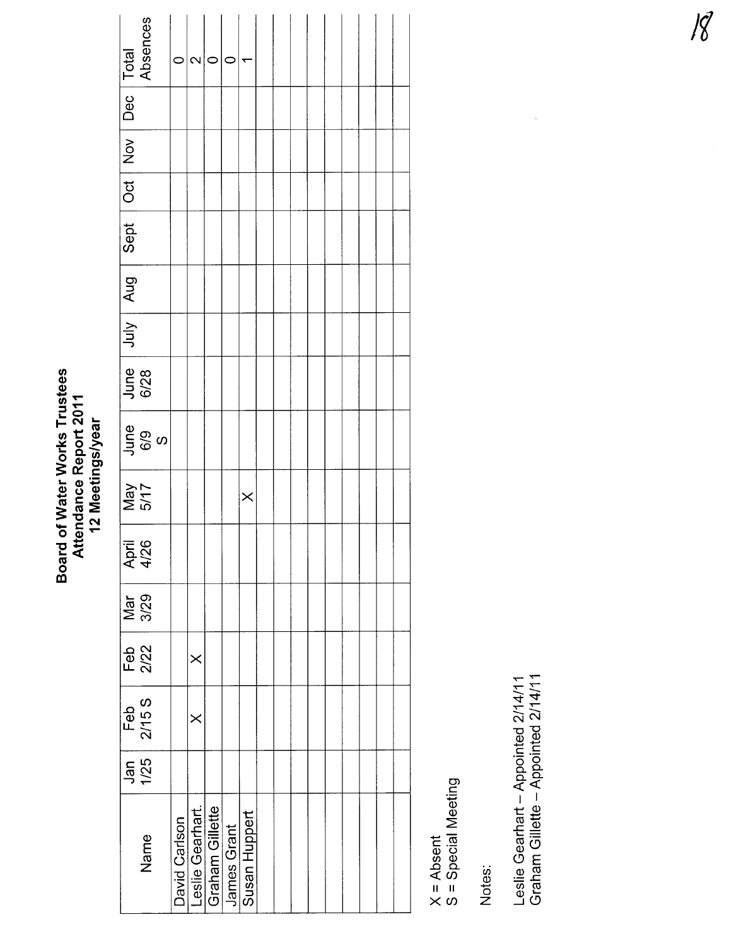#### Board of Water Works Trustees Board of Water Works Trustees Attendance Report 2011<br>12 Meetings/year Attendance Report 2011 12 Meetings/year

| $\sqrt{\frac{\text{Total}}{\text{Absences}}}$ |                  | c             | $\mathbf{\Omega}$ | C               |             |               |  |  |  |  |  |
|-----------------------------------------------|------------------|---------------|-------------------|-----------------|-------------|---------------|--|--|--|--|--|
| Dec <sub>1</sub>                              |                  |               |                   |                 |             |               |  |  |  |  |  |
| Oct   Nov                                     |                  |               |                   |                 |             |               |  |  |  |  |  |
|                                               |                  |               |                   |                 |             |               |  |  |  |  |  |
| Sept                                          |                  |               |                   |                 |             |               |  |  |  |  |  |
| July   Aug                                    |                  |               |                   |                 |             |               |  |  |  |  |  |
|                                               |                  |               |                   |                 |             |               |  |  |  |  |  |
| June<br>6/28                                  |                  |               |                   |                 |             |               |  |  |  |  |  |
|                                               | June<br>6/9<br>S |               |                   |                 |             |               |  |  |  |  |  |
| Nay<br>VFM                                    |                  |               |                   |                 |             | $\times$      |  |  |  |  |  |
| April<br>4/26                                 |                  |               |                   |                 |             |               |  |  |  |  |  |
| Mar<br>3/29                                   |                  |               |                   |                 |             |               |  |  |  |  |  |
| Feb<br>2/22                                   |                  |               | $\times$          |                 |             |               |  |  |  |  |  |
| Feb<br>2/15 S                                 |                  |               | $\times$          |                 |             |               |  |  |  |  |  |
|                                               | Jan<br>1/25      |               |                   |                 |             |               |  |  |  |  |  |
|                                               | Name             | David Carlson | Leslie Gearhart.  | Graham Gillette | James Grant | Susan Huppert |  |  |  |  |  |

X = Absent<br>S = Special Meeting S = Special Meeting

Notes:

Leslie Gearhart - Appointed 2/14/11<br>Graham Gillette - Appointed 2/14/11 Graham Gillette - Appointed 2/14/1 Leslie Gearhart - Appointed 2/14/11

 $\ddot{\phantom{0}}$ 

- 18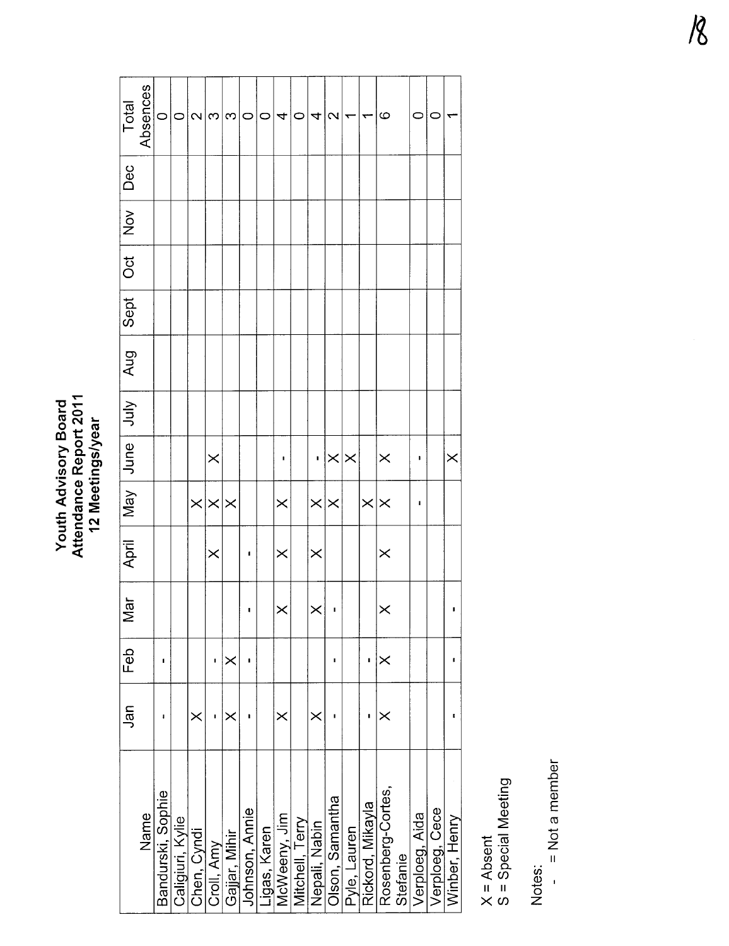Youth Advisory Board<br>Attendance Report 2011<br>12 Meetings/year Attendance Report 2011 Youth Advisory Board 12 Meetings/year

|                   | Jan | Feb      | $\overline{5}$<br>⋝ | April <sup>1</sup> |          | May June July     | Aug | Sept | $\overline{C}$ | $ $ Nov $ $ | Dec | Total             |
|-------------------|-----|----------|---------------------|--------------------|----------|-------------------|-----|------|----------------|-------------|-----|-------------------|
| Name              |     |          |                     |                    |          |                   |     |      |                |             |     | Absences          |
| Bandurski, Sophie |     | ı        |                     |                    |          |                   |     |      |                |             |     | $\circ$           |
| Caligiuri, Kylie  |     |          |                     |                    |          |                   |     |      |                |             |     | 0                 |
| Chen, Cyndi       | ×   |          |                     |                    | $\times$ |                   |     |      |                |             |     | $\mathbf{\Omega}$ |
| Croll, Amy        |     | ı        |                     | $\times$           | $\times$ | $\times$          |     |      |                |             |     | က                 |
| Gajjar, Mihir     | ×   | $\times$ |                     |                    | $\times$ |                   |     |      |                |             |     | က                 |
| Johnson, Annie    |     | ı        |                     | ı                  |          |                   |     |      |                |             |     | 0                 |
| Ligas, Karen      |     |          |                     |                    |          |                   |     |      |                |             |     | 0                 |
| McWeeny, Jim      | ×   |          | $\times$            | $\times$           | $\times$ | Î                 |     |      |                |             |     | 4                 |
| Mitchell, Terry   |     |          |                     |                    |          |                   |     |      |                |             |     | 0                 |
| Nepali, Nabin     | ×   |          | $\times$            | $\times$           | $\times$ | I.                |     |      |                |             |     | 4                 |
| Olson, Samantha   | I   | I        |                     |                    | $\times$ | $\times$ $\times$ |     |      |                |             |     | $\mathbf{\Omega}$ |
| Pyle, Lauren      |     |          |                     |                    |          |                   |     |      |                |             |     |                   |
| Rickord, Mikayla  |     | ı        |                     |                    | $\times$ |                   |     |      |                |             |     |                   |
| Rosenberg-Cortes, | ×   | $\times$ |                     | $\times$           | $\times$ | $\times$          |     |      |                |             |     | ဖ                 |
| Stefanie          |     |          |                     |                    |          |                   |     |      |                |             |     |                   |
| Verploeg, Aida    |     |          |                     |                    | ı        | ı                 |     |      |                |             |     | O                 |
| Verploeg, Cece    |     |          |                     |                    |          |                   |     |      |                |             |     | c                 |
| Winber, Henry     | p   | ı        |                     |                    |          | $\times$          |     |      |                |             |     |                   |
|                   |     |          |                     |                    |          |                   |     |      |                |             |     |                   |

X = Absent<br>S = Special Meeting S = Special Meeting

Notes:<br>- = Not a member - = Not a member  $\overline{\phantom{a}}$